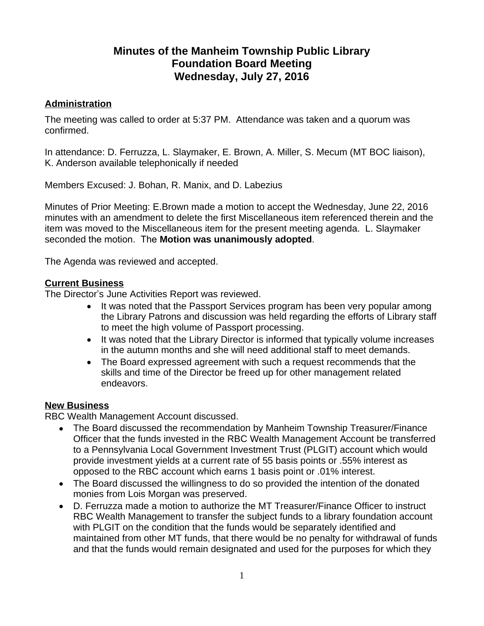# **Minutes of the Manheim Township Public Library Foundation Board Meeting Wednesday, July 27, 2016**

## **Administration**

The meeting was called to order at 5:37 PM. Attendance was taken and a quorum was confirmed.

In attendance: D. Ferruzza, L. Slaymaker, E. Brown, A. Miller, S. Mecum (MT BOC liaison), K. Anderson available telephonically if needed

Members Excused: J. Bohan, R. Manix, and D. Labezius

Minutes of Prior Meeting: E.Brown made a motion to accept the Wednesday, June 22, 2016 minutes with an amendment to delete the first Miscellaneous item referenced therein and the item was moved to the Miscellaneous item for the present meeting agenda. L. Slaymaker seconded the motion. The **Motion was unanimously adopted**.

The Agenda was reviewed and accepted.

## **Current Business**

The Director's June Activities Report was reviewed.

- It was noted that the Passport Services program has been very popular among the Library Patrons and discussion was held regarding the efforts of Library staff to meet the high volume of Passport processing.
- It was noted that the Library Director is informed that typically volume increases in the autumn months and she will need additional staff to meet demands.
- The Board expressed agreement with such a request recommends that the skills and time of the Director be freed up for other management related endeavors.

## **New Business**

RBC Wealth Management Account discussed.

- The Board discussed the recommendation by Manheim Township Treasurer/Finance Officer that the funds invested in the RBC Wealth Management Account be transferred to a Pennsylvania Local Government Investment Trust (PLGIT) account which would provide investment yields at a current rate of 55 basis points or .55% interest as opposed to the RBC account which earns 1 basis point or .01% interest.
- The Board discussed the willingness to do so provided the intention of the donated monies from Lois Morgan was preserved.
- D. Ferruzza made a motion to authorize the MT Treasurer/Finance Officer to instruct RBC Wealth Management to transfer the subject funds to a library foundation account with PLGIT on the condition that the funds would be separately identified and maintained from other MT funds, that there would be no penalty for withdrawal of funds and that the funds would remain designated and used for the purposes for which they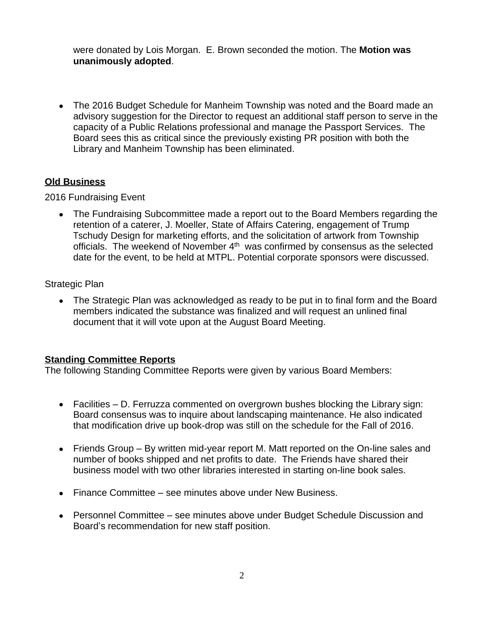were donated by Lois Morgan. E. Brown seconded the motion. The **Motion was unanimously adopted**.

 The 2016 Budget Schedule for Manheim Township was noted and the Board made an advisory suggestion for the Director to request an additional staff person to serve in the capacity of a Public Relations professional and manage the Passport Services. The Board sees this as critical since the previously existing PR position with both the Library and Manheim Township has been eliminated.

## **Old Business**

2016 Fundraising Event

 The Fundraising Subcommittee made a report out to the Board Members regarding the retention of a caterer, J. Moeller, State of Affairs Catering, engagement of Trump Tschudy Design for marketing efforts, and the solicitation of artwork from Township officials. The weekend of November 4th was confirmed by consensus as the selected date for the event, to be held at MTPL. Potential corporate sponsors were discussed.

Strategic Plan

• The Strategic Plan was acknowledged as ready to be put in to final form and the Board members indicated the substance was finalized and will request an unlined final document that it will vote upon at the August Board Meeting.

## **Standing Committee Reports**

The following Standing Committee Reports were given by various Board Members:

- Facilities D. Ferruzza commented on overgrown bushes blocking the Library sign: Board consensus was to inquire about landscaping maintenance. He also indicated that modification drive up book-drop was still on the schedule for the Fall of 2016.
- Friends Group By written mid-year report M. Matt reported on the On-line sales and number of books shipped and net profits to date. The Friends have shared their business model with two other libraries interested in starting on-line book sales.
- Finance Committee see minutes above under New Business.
- Personnel Committee see minutes above under Budget Schedule Discussion and Board's recommendation for new staff position.